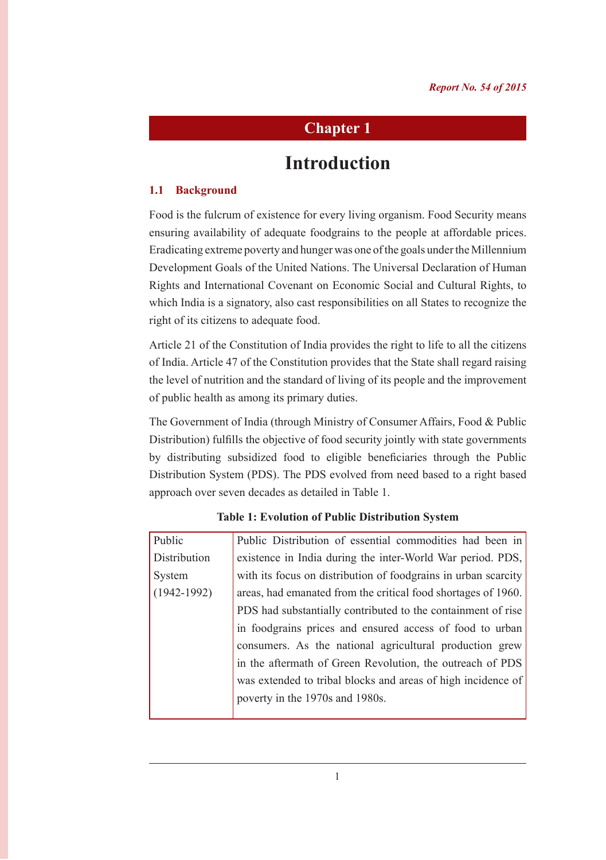# **Chapter 1**

# **Introduction**

# **1.1 Background**

Food is the fulcrum of existence for every living organism. Food Security means ensuring availability of adequate foodgrains to the people at affordable prices. Eradicating extreme poverty and hunger was one of the goals under the Millennium Development Goals of the United Nations. The Universal Declaration of Human Rights and International Covenant on Economic Social and Cultural Rights, to which India is a signatory, also cast responsibilities on all States to recognize the right of its citizens to adequate food.

Article 21 of the Constitution of India provides the right to life to all the citizens of India. Article 47 of the Constitution provides that the State shall regard raising the level of nutrition and the standard of living of its people and the improvement of public health as among its primary duties.

The Government of India (through Ministry of Consumer Affairs, Food & Public Distribution) fulfills the objective of food security jointly with state governments by distributing subsidized food to eligible beneficiaries through the Public Distribution System (PDS). The PDS evolved from need based to a right based approach over seven decades as detailed in Table 1.

| Public          | Public Distribution of essential commodities had been in       |  |
|-----------------|----------------------------------------------------------------|--|
| Distribution    | existence in India during the inter-World War period. PDS,     |  |
| System          | with its focus on distribution of foodgrains in urban scarcity |  |
| $(1942 - 1992)$ | areas, had emanated from the critical food shortages of 1960.  |  |
|                 | PDS had substantially contributed to the containment of rise   |  |
|                 | in foodgrains prices and ensured access of food to urban       |  |
|                 | consumers. As the national agricultural production grew        |  |
|                 | in the aftermath of Green Revolution, the outreach of PDS      |  |
|                 | was extended to tribal blocks and areas of high incidence of   |  |
|                 | poverty in the 1970s and 1980s.                                |  |
|                 |                                                                |  |

#### **Table 1: Evolution of Public Distribution System**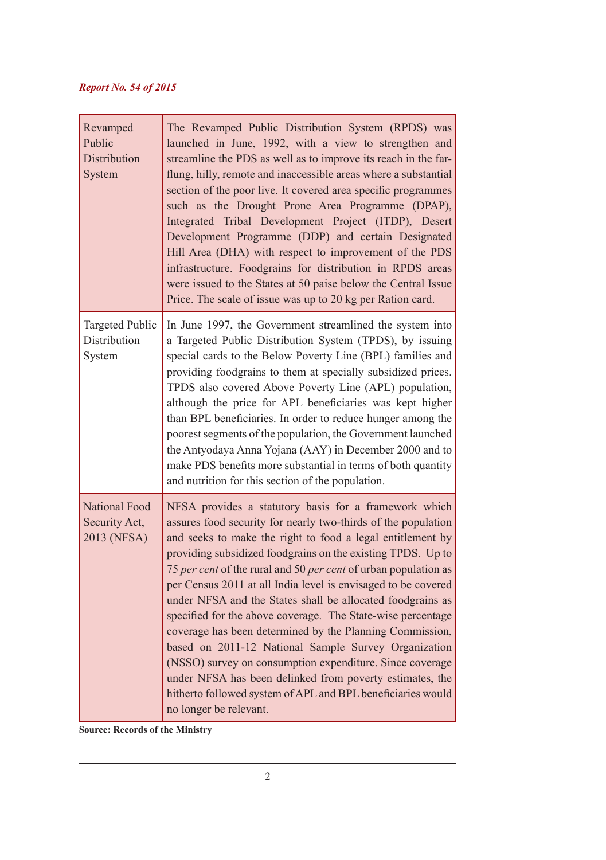| Revamped<br>Public<br>Distribution<br>System         | The Revamped Public Distribution System (RPDS) was<br>launched in June, 1992, with a view to strengthen and<br>streamline the PDS as well as to improve its reach in the far-<br>flung, hilly, remote and inaccessible areas where a substantial<br>section of the poor live. It covered area specific programmes<br>such as the Drought Prone Area Programme (DPAP),<br>Integrated Tribal Development Project (ITDP), Desert<br>Development Programme (DDP) and certain Designated<br>Hill Area (DHA) with respect to improvement of the PDS<br>infrastructure. Foodgrains for distribution in RPDS areas<br>were issued to the States at 50 paise below the Central Issue<br>Price. The scale of issue was up to 20 kg per Ration card.                                                                                                                 |
|------------------------------------------------------|-----------------------------------------------------------------------------------------------------------------------------------------------------------------------------------------------------------------------------------------------------------------------------------------------------------------------------------------------------------------------------------------------------------------------------------------------------------------------------------------------------------------------------------------------------------------------------------------------------------------------------------------------------------------------------------------------------------------------------------------------------------------------------------------------------------------------------------------------------------|
| <b>Targeted Public</b><br>Distribution<br>System     | In June 1997, the Government streamlined the system into<br>a Targeted Public Distribution System (TPDS), by issuing<br>special cards to the Below Poverty Line (BPL) families and<br>providing foodgrains to them at specially subsidized prices.<br>TPDS also covered Above Poverty Line (APL) population,<br>although the price for APL beneficiaries was kept higher<br>than BPL beneficiaries. In order to reduce hunger among the<br>poorest segments of the population, the Government launched<br>the Antyodaya Anna Yojana (AAY) in December 2000 and to<br>make PDS benefits more substantial in terms of both quantity<br>and nutrition for this section of the population.                                                                                                                                                                    |
| <b>National Food</b><br>Security Act,<br>2013 (NFSA) | NFSA provides a statutory basis for a framework which<br>assures food security for nearly two-thirds of the population<br>and seeks to make the right to food a legal entitlement by<br>providing subsidized foodgrains on the existing TPDS. Up to<br>75 per cent of the rural and 50 per cent of urban population as<br>per Census 2011 at all India level is envisaged to be covered<br>under NFSA and the States shall be allocated foodgrains as<br>specified for the above coverage. The State-wise percentage<br>coverage has been determined by the Planning Commission,<br>based on 2011-12 National Sample Survey Organization<br>(NSSO) survey on consumption expenditure. Since coverage<br>under NFSA has been delinked from poverty estimates, the<br>hitherto followed system of APL and BPL beneficiaries would<br>no longer be relevant. |

**Source: Records of the Ministry**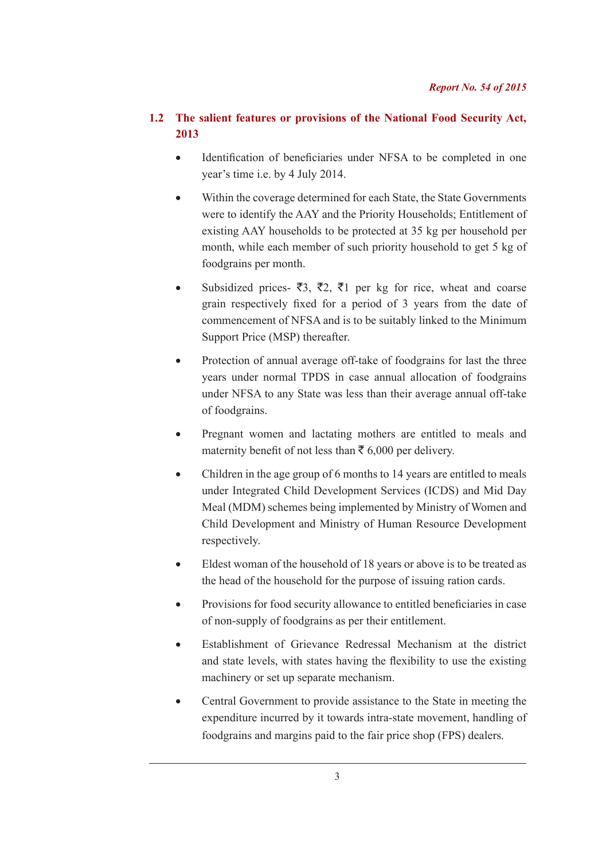# **1.2 The salient features or provisions of the National Food Security Act, 2013**

- Identification of beneficiaries under NFSA to be completed in one year's time i.e. by 4 July 2014.
- Within the coverage determined for each State, the State Governments were to identify the AAY and the Priority Households; Entitlement of existing AAY households to be protected at 35 kg per household per month, while each member of such priority household to get 5 kg of foodgrains per month.
- Subsidized prices-  $\bar{z}3$ ,  $\bar{z}2$ ,  $\bar{z}1$  per kg for rice, wheat and coarse grain respectively fixed for a period of 3 years from the date of commencement of NFSA and is to be suitably linked to the Minimum Support Price (MSP) thereafter.
- Protection of annual average off-take of foodgrains for last the three years under normal TPDS in case annual allocation of foodgrains under NFSA to any State was less than their average annual off-take of foodgrains.
- Pregnant women and lactating mothers are entitled to meals and maternity benefit of not less than  $\bar{\tau}$  6,000 per delivery.
- Children in the age group of 6 months to 14 years are entitled to meals under Integrated Child Development Services (ICDS) and Mid Day Meal (MDM) schemes being implemented by Ministry of Women and Child Development and Ministry of Human Resource Development respectively.
- Eldest woman of the household of 18 years or above is to be treated as the head of the household for the purpose of issuing ration cards.
- Provisions for food security allowance to entitled beneficiaries in case of non-supply of foodgrains as per their entitlement.
- Establishment of Grievance Redressal Mechanism at the district and state levels, with states having the flexibility to use the existing machinery or set up separate mechanism.
- Central Government to provide assistance to the State in meeting the expenditure incurred by it towards intra-state movement, handling of foodgrains and margins paid to the fair price shop (FPS) dealers.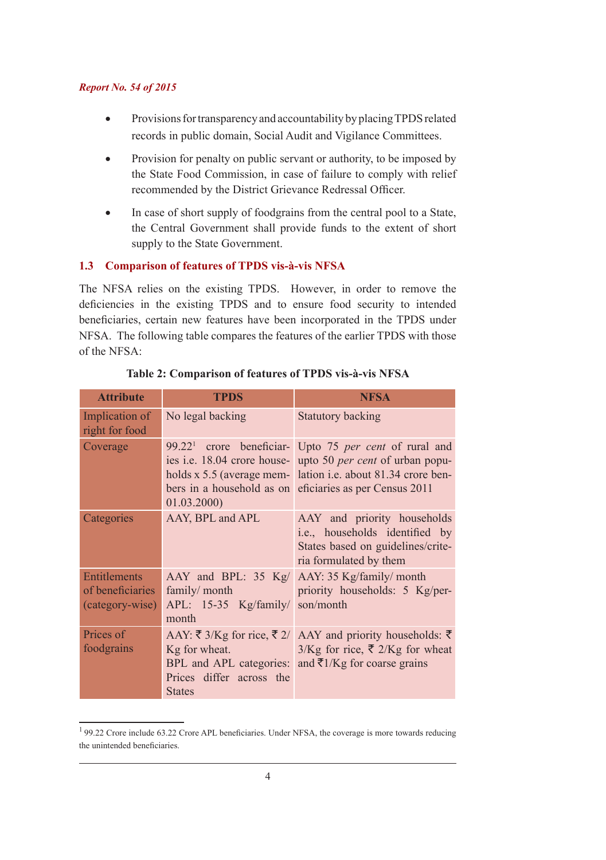- Provisions for transparency and accountability by placing TPDS related records in public domain, Social Audit and Vigilance Committees.
- Provision for penalty on public servant or authority, to be imposed by the State Food Commission, in case of failure to comply with relief recommended by the District Grievance Redressal Officer.
- In case of short supply of foodgrains from the central pool to a State, the Central Government shall provide funds to the extent of short supply to the State Government.

#### **1.3 Comparison of features of TPDS vis-à-vis NFSA**

The NFSA relies on the existing TPDS. However, in order to remove the deficiencies in the existing TPDS and to ensure food security to intended beneficiaries, certain new features have been incorporated in the TPDS under NFSA. The following table compares the features of the earlier TPDS with those of the NFSA:

| <b>Attribute</b>                                    | <b>TPDS</b>                                                | <b>NFSA</b>                                                                                                                                                                                                                                                                |
|-----------------------------------------------------|------------------------------------------------------------|----------------------------------------------------------------------------------------------------------------------------------------------------------------------------------------------------------------------------------------------------------------------------|
| Implication of<br>right for food                    | No legal backing                                           | <b>Statutory backing</b>                                                                                                                                                                                                                                                   |
| Coverage                                            | 01.03.2000)                                                | 99.22 <sup>1</sup> crore beneficiar- Upto 75 per cent of rural and<br>ies i.e. 18.04 crore house- upto 50 <i>per cent</i> of urban popu-<br>holds x 5.5 (average mem- lation <i>i.e.</i> about 81.34 crore ben-<br>bers in a household as on eficiaries as per Census 2011 |
| Categories                                          | AAY, BPL and APL                                           | AAY and priority households<br>i.e., households identified by<br>States based on guidelines/crite-<br>ria formulated by them                                                                                                                                               |
| Entitlements<br>of beneficiaries<br>(category-wise) | family/ month<br>$APL: 15-35$ Kg/family/<br>month          | AAY and BPL: 35 Kg/ AAY: 35 Kg/family/ month<br>priority households: 5 Kg/per-<br>son/month                                                                                                                                                                                |
| Prices of<br>foodgrains                             | Kg for wheat.<br>Prices differ across the<br><b>States</b> | AAY: $\bar{\xi}$ 3/Kg for rice, $\bar{\xi}$ 2/ AAY and priority households: $\bar{\xi}$<br>$3/Kg$ for rice, ₹ 2/Kg for wheat<br>BPL and APL categories: and $\overline{z}$ 1/Kg for coarse grains                                                                          |

# **Table 2: Comparison of features of TPDS vis-à-vis NFSA**

<sup>&</sup>lt;sup>1</sup>99.22 Crore include 63.22 Crore APL beneficiaries. Under NFSA, the coverage is more towards reducing the unintended beneficiaries.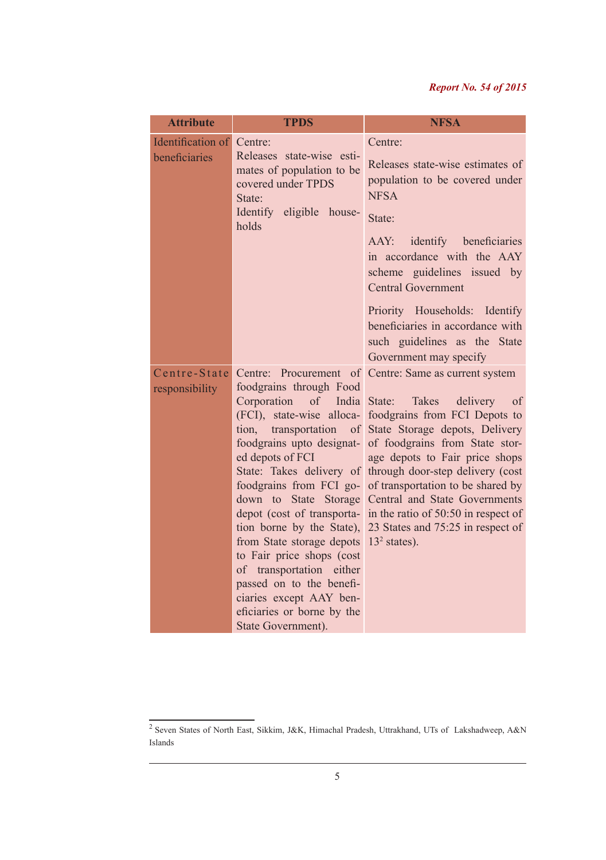| <b>Attribute</b>                   | <b>TPDS</b>                                                                                                                                                                                                                                                                                                                                                                                                                                                     | <b>NFSA</b>                                                                                                                                                                                                                                                                                                                                                                                                                                                                          |
|------------------------------------|-----------------------------------------------------------------------------------------------------------------------------------------------------------------------------------------------------------------------------------------------------------------------------------------------------------------------------------------------------------------------------------------------------------------------------------------------------------------|--------------------------------------------------------------------------------------------------------------------------------------------------------------------------------------------------------------------------------------------------------------------------------------------------------------------------------------------------------------------------------------------------------------------------------------------------------------------------------------|
| Identification of<br>beneficiaries | Centre:<br>Releases state-wise esti-<br>mates of population to be<br>covered under TPDS<br>State:<br>Identify eligible house-<br>holds                                                                                                                                                                                                                                                                                                                          | Centre:<br>Releases state-wise estimates of<br>population to be covered under<br><b>NFSA</b><br>State:<br>AAY: identify beneficiaries<br>in accordance with the AAY<br>scheme guidelines issued by<br><b>Central Government</b><br>Priority Households: Identify<br>beneficiaries in accordance with<br>such guidelines as the State<br>Government may specify                                                                                                                       |
| Centre-State<br>responsibility     | foodgrains through Food<br>Corporation<br>of India State:<br>transportation<br>tion,<br>$\sigma$<br>foodgrains upto designat-<br>ed depots of FCI<br>State: Takes delivery of<br>foodgrains from FCI go-<br>down to State Storage<br>tion borne by the State),<br>from State storage depots<br>to Fair price shops (cost<br>of transportation either<br>passed on to the benefi-<br>ciaries except AAY ben-<br>eficiaries or borne by the<br>State Government). | Centre: Procurement of Centre: Same as current system<br>Takes<br>delivery<br>of<br>(FCI), state-wise alloca- foodgrains from FCI Depots to<br>State Storage depots, Delivery<br>of foodgrains from State stor-<br>age depots to Fair price shops<br>through door-step delivery (cost<br>of transportation to be shared by<br>Central and State Governments<br>depot (cost of transporta- in the ratio of 50:50 in respect of<br>23 States and 75:25 in respect of<br>$132$ states). |

<sup>&</sup>lt;sup>2</sup> Seven States of North East, Sikkim, J&K, Himachal Pradesh, Uttrakhand, UTs of Lakshadweep, A&N Islands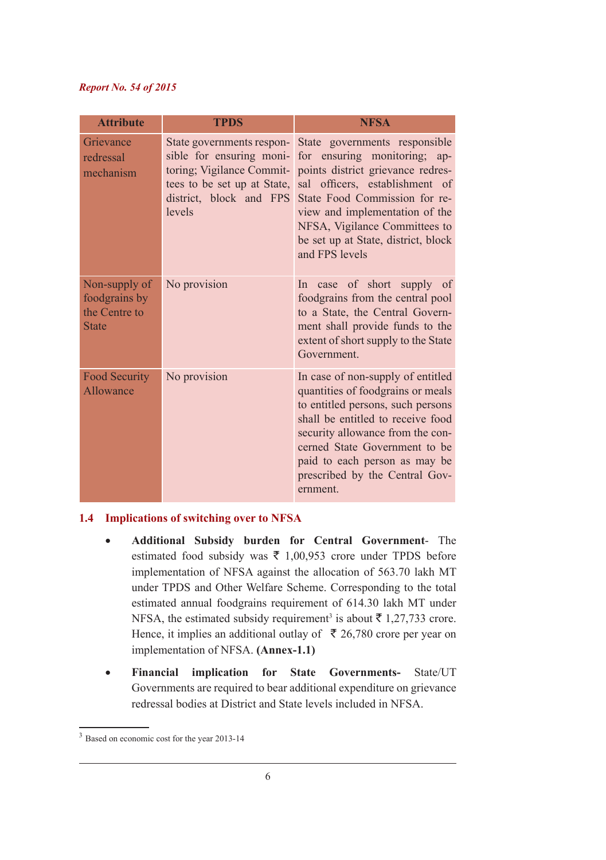| <b>Attribute</b>                                                | <b>TPDS</b>                                                                                                                                            | <b>NFSA</b>                                                                                                                                                                                                                                                                                          |
|-----------------------------------------------------------------|--------------------------------------------------------------------------------------------------------------------------------------------------------|------------------------------------------------------------------------------------------------------------------------------------------------------------------------------------------------------------------------------------------------------------------------------------------------------|
| Grievance<br>redressal<br>mechanism                             | State governments respon-<br>sible for ensuring moni-<br>toring; Vigilance Commit-<br>tees to be set up at State,<br>district, block and FPS<br>levels | State governments responsible<br>for ensuring monitoring; ap-<br>points district grievance redres-<br>sal officers, establishment of<br>State Food Commission for re-<br>view and implementation of the<br>NFSA, Vigilance Committees to<br>be set up at State, district, block<br>and FPS levels    |
| Non-supply of<br>foodgrains by<br>the Centre to<br><b>State</b> | No provision                                                                                                                                           | In case of short supply of<br>foodgrains from the central pool<br>to a State, the Central Govern-<br>ment shall provide funds to the<br>extent of short supply to the State<br>Government.                                                                                                           |
| <b>Food Security</b><br>Allowance                               | No provision                                                                                                                                           | In case of non-supply of entitled<br>quantities of foodgrains or meals<br>to entitled persons, such persons<br>shall be entitled to receive food<br>security allowance from the con-<br>cerned State Government to be<br>paid to each person as may be<br>prescribed by the Central Gov-<br>ernment. |

#### **1.4 Implications of switching over to NFSA**

- • **Additional Subsidy burden for Central Government** The estimated food subsidy was  $\overline{\xi}$  1,00,953 crore under TPDS before implementation of NFSA against the allocation of 563.70 lakh MT under TPDS and Other Welfare Scheme. Corresponding to the total estimated annual foodgrains requirement of 614.30 lakh MT under NFSA, the estimated subsidy requirement<sup>3</sup> is about  $\bar{\tau}$  1,27,733 crore. Hence, it implies an additional outlay of  $\bar{\bar{\xi}}$  26,780 crore per year on implementation of NFSA. **(Annex-1.1)**
- • **Financial implication for State Governments-** State/UT Governments are required to bear additional expenditure on grievance redressal bodies at District and State levels included in NFSA.

<sup>&</sup>lt;sup>3</sup> Based on economic cost for the year 2013-14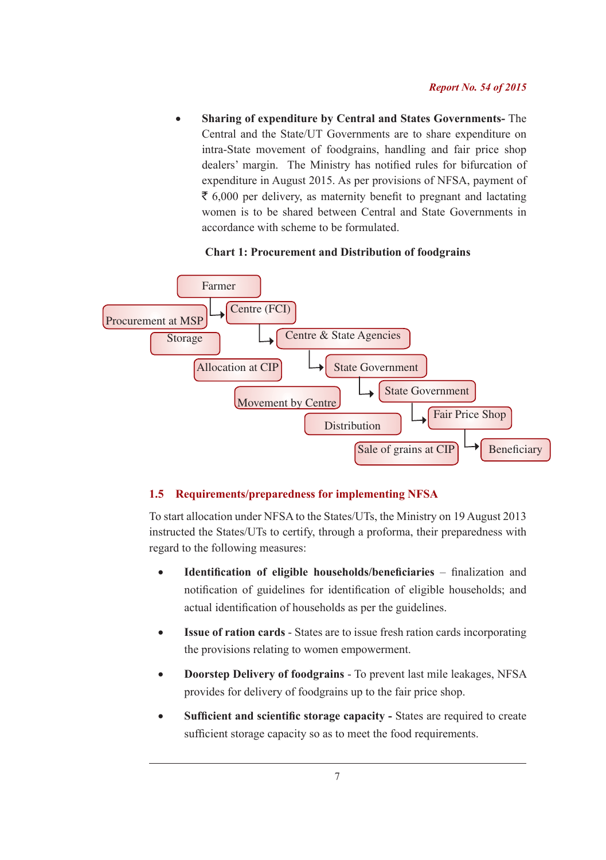**Sharing of expenditure by Central and States Governments-** The Central and the State/UT Governments are to share expenditure on intra-State movement of foodgrains, handling and fair price shop dealers' margin. The Ministry has notified rules for bifurcation of expenditure in August 2015. As per provisions of NFSA, payment of  $\bar{\xi}$  6,000 per delivery, as maternity benefit to pregnant and lactating women is to be shared between Central and State Governments in accordance with scheme to be formulated.

#### **Chart 1: Procurement and Distribution of foodgrains**



# **1.5 Requirements/preparedness for implementing NFSA**

To start allocation under NFSA to the States/UTs, the Ministry on 19 August 2013 instructed the States/UTs to certify, through a proforma, their preparedness with regard to the following measures:

- • **Identification of eligible households/beneficiaries**  finalization and notification of guidelines for identification of eligible households; and actual identification of households as per the guidelines.
- **Issue of ration cards** States are to issue fresh ration cards incorporating the provisions relating to women empowerment.
- • **Doorstep Delivery of foodgrains** To prevent last mile leakages, NFSA provides for delivery of foodgrains up to the fair price shop.
- **Sufficient and scientific storage capacity -** States are required to create sufficient storage capacity so as to meet the food requirements.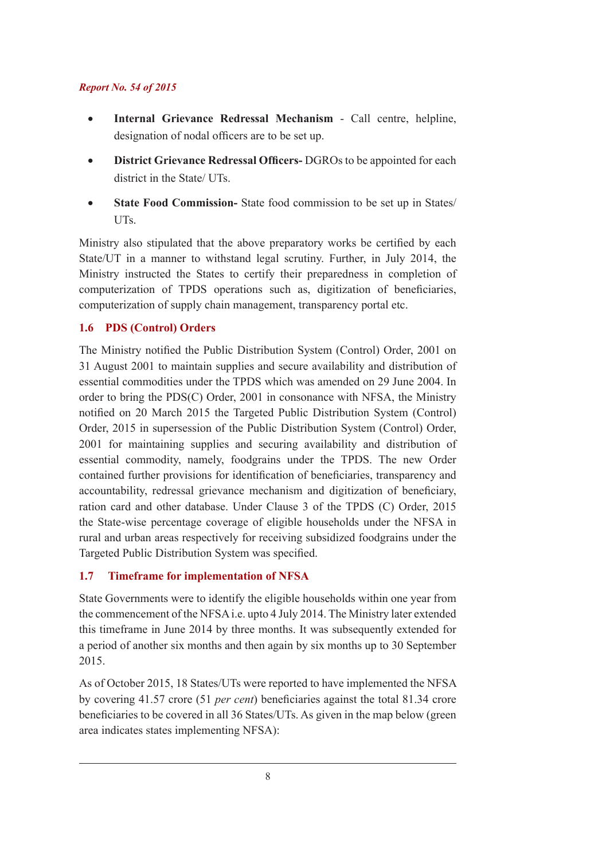- Internal Grievance Redressal Mechanism Call centre, helpline, designation of nodal officers are to be set up.
- • **District Grievance Redressal Officers-** DGROs to be appointed for each district in the State/ UTs.
- **State Food Commission-** State food commission to be set up in States/ UTs.

Ministry also stipulated that the above preparatory works be certified by each State/UT in a manner to withstand legal scrutiny. Further, in July 2014, the Ministry instructed the States to certify their preparedness in completion of computerization of TPDS operations such as, digitization of beneficiaries, computerization of supply chain management, transparency portal etc.

# **1.6 PDS (Control) Orders**

The Ministry notified the Public Distribution System (Control) Order, 2001 on 31 August 2001 to maintain supplies and secure availability and distribution of essential commodities under the TPDS which was amended on 29 June 2004. In order to bring the PDS(C) Order, 2001 in consonance with NFSA, the Ministry notified on 20 March 2015 the Targeted Public Distribution System (Control) Order, 2015 in supersession of the Public Distribution System (Control) Order, 2001 for maintaining supplies and securing availability and distribution of essential commodity, namely, foodgrains under the TPDS. The new Order contained further provisions for identification of beneficiaries, transparency and accountability, redressal grievance mechanism and digitization of beneficiary, ration card and other database. Under Clause 3 of the TPDS (C) Order, 2015 the State-wise percentage coverage of eligible households under the NFSA in rural and urban areas respectively for receiving subsidized foodgrains under the Targeted Public Distribution System was specified.

# **1.7 Timeframe for implementation of NFSA**

State Governments were to identify the eligible households within one year from the commencement of the NFSA i.e. upto 4 July 2014. The Ministry later extended this timeframe in June 2014 by three months. It was subsequently extended for a period of another six months and then again by six months up to 30 September 2015.

As of October 2015, 18 States/UTs were reported to have implemented the NFSA by covering 41.57 crore (51 *per cent*) beneficiaries against the total 81.34 crore beneficiaries to be covered in all 36 States/UTs. As given in the map below (green area indicates states implementing NFSA):